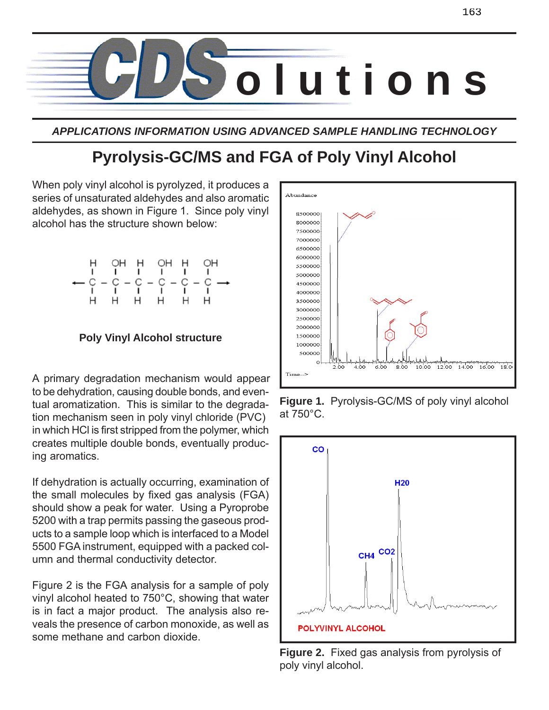

*APPLICATIONS INFORMATION USING ADVANCED SAMPLE HANDLING TECHNOLOGY*

# **Pyrolysis-GC/MS and FGA of Poly Vinyl Alcohol**

When poly vinyl alcohol is pyrolyzed, it produces a series of unsaturated aldehydes and also aromatic aldehydes, as shown in Figure 1. Since poly vinyl alcohol has the structure shown below:

# **Poly Vinyl Alcohol structure**

A primary degradation mechanism would appear to be dehydration, causing double bonds, and eventual aromatization. This is similar to the degradation mechanism seen in poly vinyl chloride (PVC) in which HCl is first stripped from the polymer, which creates multiple double bonds, eventually producing aromatics.

If dehydration is actually occurring, examination of the small molecules by fixed gas analysis (FGA) should show a peak for water. Using a Pyroprobe 5200 with a trap permits passing the gaseous products to a sample loop which is interfaced to a Model 5500 FGA instrument, equipped with a packed column and thermal conductivity detector.

Figure 2 is the FGA analysis for a sample of poly vinyl alcohol heated to 750°C, showing that water is in fact a major product. The analysis also reveals the presence of carbon monoxide, as well as some methane and carbon dioxide.



**Figure 1.** Pyrolysis-GC/MS of poly vinyl alcohol at 750°C.



**Figure 2.** Fixed gas analysis from pyrolysis of poly vinyl alcohol.